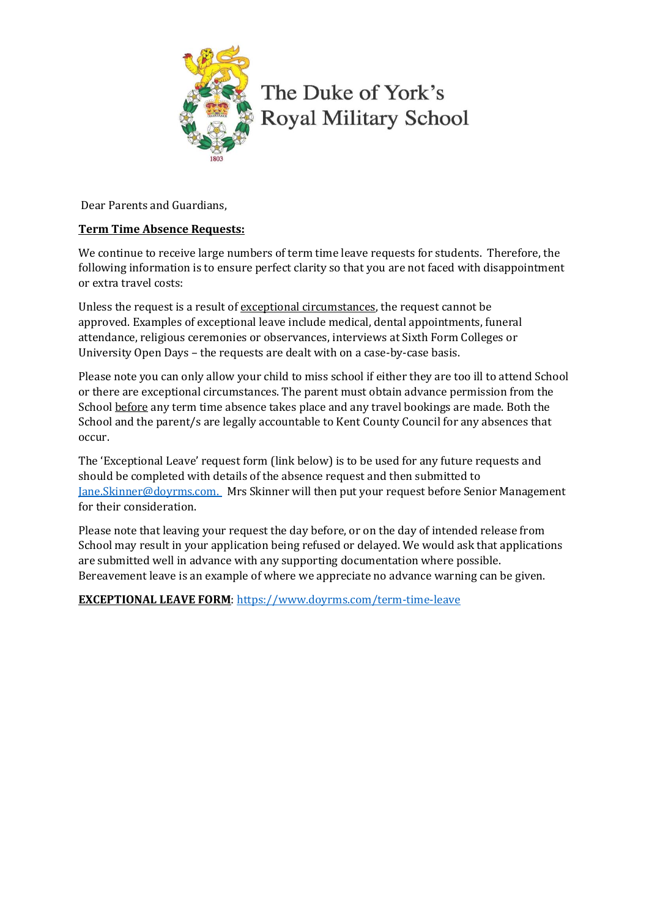

The Duke of York's **Royal Military School** 

Dear Parents and Guardians,

## **Term Time Absence Requests:**

We continue to receive large numbers of term time leave requests for students. Therefore, the following information is to ensure perfect clarity so that you are not faced with disappointment or extra travel costs:

Unless the request is a result of exceptional circumstances, the request cannot be approved. Examples of exceptional leave include medical, dental appointments, funeral attendance, religious ceremonies or observances, interviews at Sixth Form Colleges or University Open Days – the requests are dealt with on a case-by-case basis.

Please note you can only allow your child to miss school if either they are too ill to attend School or there are exceptional circumstances. The parent must obtain advance permission from the School before any term time absence takes place and any travel bookings are made. Both the School and the parent/s are legally accountable to Kent County Council for any absences that occur.

The 'Exceptional Leave' request form (link below) is to be used for any future requests and should be completed with details of the absence request and then submitted to [Jane.Skinner@doyrms.com.](mailto:Jane.Skinner@doyrms.com.) Mrs Skinner will then put your request before Senior Management for their consideration.

Please note that leaving your request the day before, or on the day of intended release from School may result in your application being refused or delayed. We would ask that applications are submitted well in advance with any supporting documentation where possible. Bereavement leave is an example of where we appreciate no advance warning can be given.

**EXCEPTIONAL LEAVE FORM**[: https://www.doyrms.com/term-time-leave](https://www.doyrms.com/term-time-leave)